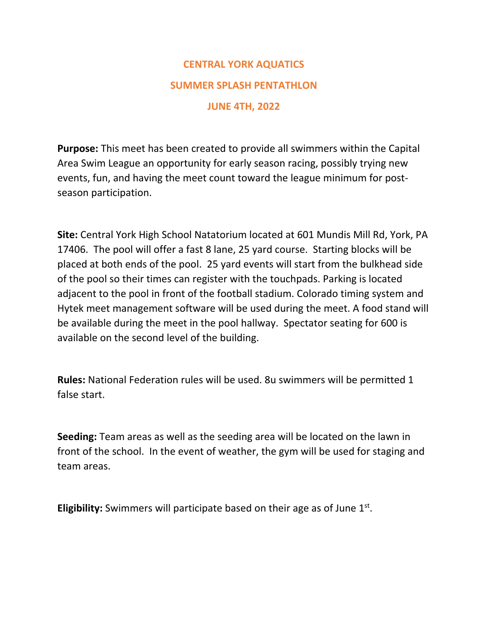## **CENTRAL YORK AQUATICS SUMMER SPLASH PENTATHLON JUNE 4TH, 2022**

**Purpose:** This meet has been created to provide all swimmers within the Capital Area Swim League an opportunity for early season racing, possibly trying new events, fun, and having the meet count toward the league minimum for post‐ season participation.

**Site:** Central York High School Natatorium located at 601 Mundis Mill Rd, York, PA 17406. The pool will offer a fast 8 lane, 25 yard course. Starting blocks will be placed at both ends of the pool. 25 yard events will start from the bulkhead side of the pool so their times can register with the touchpads. Parking is located adjacent to the pool in front of the football stadium. Colorado timing system and Hytek meet management software will be used during the meet. A food stand will be available during the meet in the pool hallway. Spectator seating for 600 is available on the second level of the building.

**Rules:** National Federation rules will be used. 8u swimmers will be permitted 1 false start.

**Seeding:** Team areas as well as the seeding area will be located on the lawn in front of the school. In the event of weather, the gym will be used for staging and team areas.

Eligibility: Swimmers will participate based on their age as of June 1st.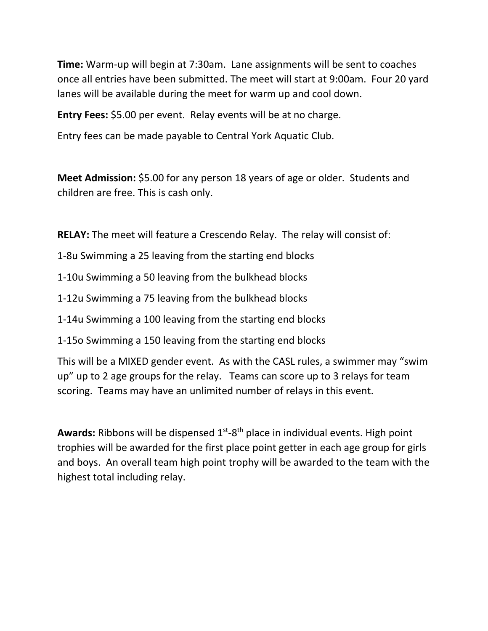**Time:** Warm‐up will begin at 7:30am. Lane assignments will be sent to coaches once all entries have been submitted. The meet will start at 9:00am. Four 20 yard lanes will be available during the meet for warm up and cool down.

**Entry Fees:** \$5.00 per event. Relay events will be at no charge.

Entry fees can be made payable to Central York Aquatic Club.

**Meet Admission:** \$5.00 for any person 18 years of age or older. Students and children are free. This is cash only.

**RELAY:** The meet will feature a Crescendo Relay. The relay will consist of:

1‐8u Swimming a 25 leaving from the starting end blocks

1‐10u Swimming a 50 leaving from the bulkhead blocks

1‐12u Swimming a 75 leaving from the bulkhead blocks

1‐14u Swimming a 100 leaving from the starting end blocks

1‐15o Swimming a 150 leaving from the starting end blocks

This will be a MIXED gender event. As with the CASL rules, a swimmer may "swim up" up to 2 age groups for the relay. Teams can score up to 3 relays for team scoring. Teams may have an unlimited number of relays in this event.

**Awards:** Ribbons will be dispensed 1<sup>st</sup>-8<sup>th</sup> place in individual events. High point trophies will be awarded for the first place point getter in each age group for girls and boys. An overall team high point trophy will be awarded to the team with the highest total including relay.